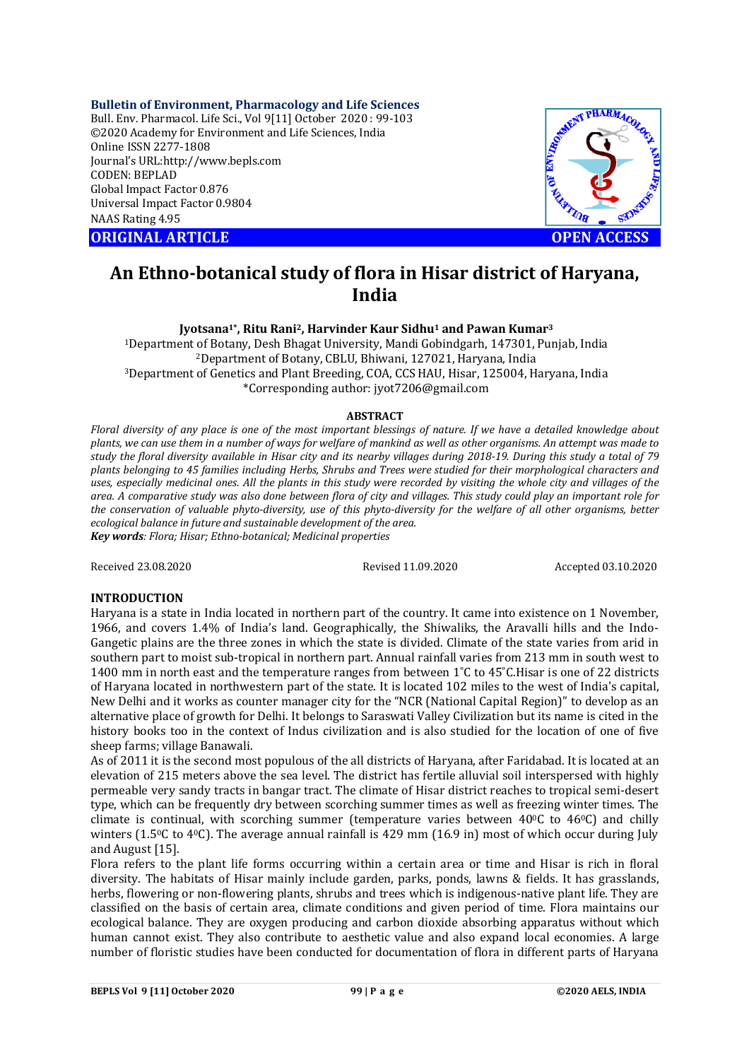**Bulletin of Environment, Pharmacology and Life Sciences** Bull. Env. Pharmacol. Life Sci., Vol 9[11] October 2020 : 99-103 ©2020 Academy for Environment and Life Sciences, India Online ISSN 2277-1808 Journal's URL:<http://www.bepls.com> CODEN: BEPLAD Global Impact Factor 0.876 Universal Impact Factor 0.9804 NAAS Rating 4.95

**ORIGINAL ARTICLE OPEN ACCESS**



# **An Ethno-botanical study of flora in Hisar district of Haryana, India**

**Jyotsana1\* , Ritu Rani2, Harvinder Kaur Sidhu<sup>1</sup> and Pawan Kumar<sup>3</sup>** <sup>1</sup>Department of Botany, Desh Bhagat University, Mandi Gobindgarh, 147301, Punjab, India <sup>2</sup>Department of Botany, CBLU, Bhiwani, 127021, Haryana, India <sup>3</sup>Department of Genetics and Plant Breeding, COA, CCS HAU, Hisar, 125004, Haryana, India \*Corresponding author: [jyot7206@gmail.com](mailto:jyot7206@gmail.com)

### **ABSTRACT**

*Floral diversity of any place is one of the most important blessings of nature. If we have a detailed knowledge about plants, we can use them in a number of ways for welfare of mankind as well as other organisms. An attempt was made to study the floral diversity available in Hisar city and its nearby villages during 2018-19. During this study a total of 79 plants belonging to 45 families including Herbs, Shrubs and Trees were studied for their morphological characters and uses, especially medicinal ones. All the plants in this study were recorded by visiting the whole city and villages of the area. A comparative study was also done between flora of city and villages. This study could play an important role for the conservation of valuable phyto-diversity, use of this phyto-diversity for the welfare of all other organisms, better ecological balance in future and sustainable development of the area. Key words: Flora; Hisar; Ethno-botanical; Medicinal properties*

Received 23.08.2020 Revised 11.09.2020 Accepted 03.10.2020

# **INTRODUCTION**

Haryana is a state in India located in northern part of the country. It came into existence on 1 November, 1966, and covers 1.4% of India's land. Geographically, the Shiwaliks, the Aravalli hills and the Indo-Gangetic plains are the three zones in which the state is divided. Climate of the state varies from arid in southern part to moist sub-tropical in northern part. Annual rainfall varies from 213 mm in south west to 1400 mm in north east and the temperature ranges from between 1˚C to 45˚C.Hisar is one of 22 districts of Haryana located in northwestern part of the state. It is located 102 miles to the west of India's capital, New Delhi and it works as counter manager city for the "NCR (National Capital Region)" to develop as an alternative place of growth for Delhi. It belongs to Saraswati Valley Civilization but its name is cited in the history books too in the context of Indus civilization and is also studied for the location of one of five sheep farms; village Banawali.

As of 2011 it is the second most populous of the all districts of Haryana, after Faridabad. It is located at an elevation of 215 meters above the sea level. The district has fertile alluvial soil interspersed with highly permeable very sandy tracts in bangar tract. The climate of Hisar district reaches to tropical semi-desert type, which can be frequently dry between scorching summer times as well as freezing winter times. The climate is continual, with scorching summer (temperature varies between  $40\degree$ C to  $46\degree$ C) and chilly winters (1.5<sup>o</sup>C to 4<sup>o</sup>C). The average annual rainfall is 429 mm (16.9 in) most of which occur during July and August [15].

Flora refers to the plant life forms occurring within a certain area or time and Hisar is rich in floral diversity. The habitats of Hisar mainly include garden, parks, ponds, lawns & fields. It has grasslands, herbs, flowering or non-flowering plants, shrubs and trees which is indigenous-native plant life. They are classified on the basis of certain area, climate conditions and given period of time. Flora maintains our ecological balance. They are oxygen producing and carbon dioxide absorbing apparatus without which human cannot exist. They also contribute to aesthetic value and also expand local economies. A large number of floristic studies have been conducted for documentation of flora in different parts of Haryana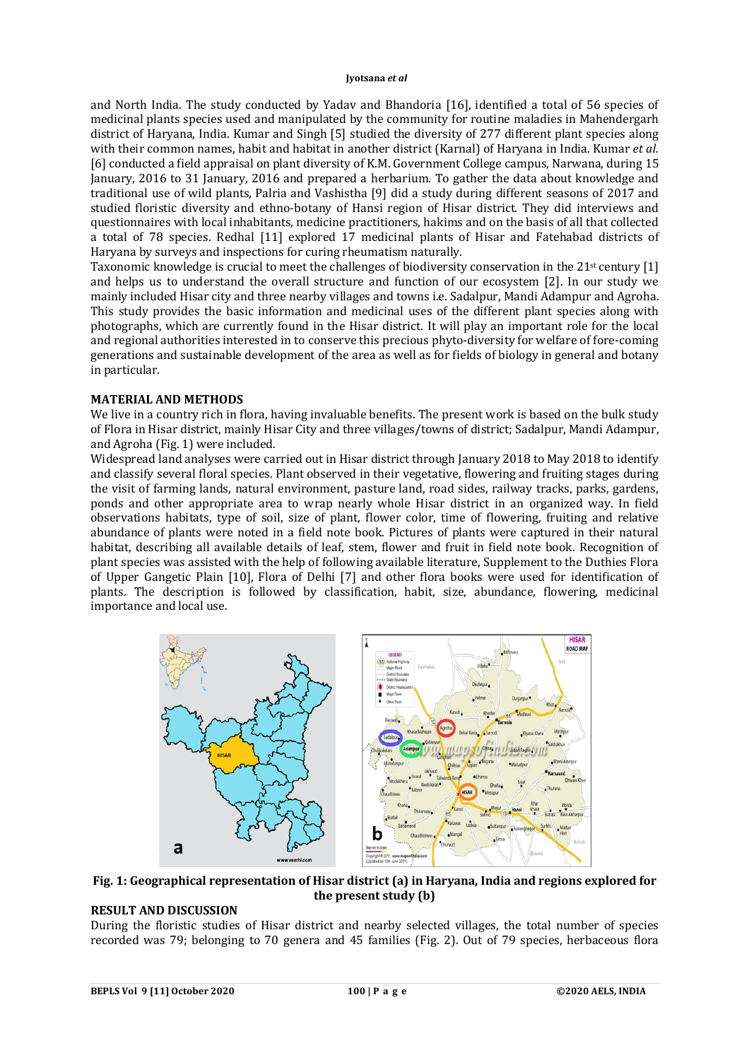and North India. The study conducted by Yadav and Bhandoria [16], identified a total of 56 species of medicinal plants species used and manipulated by the community for routine maladies in Mahendergarh district of Haryana, India. Kumar and Singh [5] studied the diversity of 277 different plant species along with their common names, habit and habitat in another district (Karnal) of Haryana in India. Kumar *et al.* [6] conducted a field appraisal on plant diversity of K.M. Government College campus, Narwana, during 15 January, 2016 to 31 January, 2016 and prepared a herbarium. To gather the data about knowledge and traditional use of wild plants, Palria and Vashistha [9] did a study during different seasons of 2017 and studied floristic diversity and ethno-botany of Hansi region of Hisar district. They did interviews and questionnaires with local inhabitants, medicine practitioners, hakims and on the basis of all that collected a total of 78 species. Redhal [11] explored 17 medicinal plants of Hisar and Fatehabad districts of Haryana by surveys and inspections for curing rheumatism naturally.

Taxonomic knowledge is crucial to meet the challenges of biodiversity conservation in the 21<sup>st</sup> century [1] and helps us to understand the overall structure and function of our ecosystem [2]. In our study we mainly included Hisar city and three nearby villages and towns i.e. Sadalpur, Mandi Adampur and Agroha. This study provides the basic information and medicinal uses of the different plant species along with photographs, which are currently found in the Hisar district. It will play an important role for the local and regional authorities interested in to conserve this precious phyto-diversity for welfare of fore-coming generations and sustainable development of the area as well as for fields of biology in general and botany in particular.

## **MATERIAL AND METHODS**

We live in a country rich in flora, having invaluable benefits. The present work is based on the bulk study of Flora in Hisar district, mainly Hisar City and three villages/towns of district; Sadalpur, Mandi Adampur, and Agroha (Fig. 1) were included.

Widespread land analyses were carried out in Hisar district through January 2018 to May 2018 to identify and classify several floral species. Plant observed in their vegetative, flowering and fruiting stages during the visit of farming lands, natural environment, pasture land, road sides, railway tracks, parks, gardens, ponds and other appropriate area to wrap nearly whole Hisar district in an organized way. In field observations habitats, type of soil, size of plant, flower color, time of flowering, fruiting and relative abundance of plants were noted in a field note book. Pictures of plants were captured in their natural habitat, describing all available details of leaf, stem, flower and fruit in field note book. Recognition of plant species was assisted with the help of following available literature, Supplement to the Duthies Flora of Upper Gangetic Plain [10], Flora of Delhi [7] and other flora books were used for identification of plants. The description is followed by classification, habit, size, abundance, flowering, medicinal importance and local use.



## **Fig. 1: Geographical representation of Hisar district (a) in Haryana, India and regions explored for the present study (b)**

# **RESULT AND DISCUSSION**

During the floristic studies of Hisar district and nearby selected villages, the total number of species recorded was 79; belonging to 70 genera and 45 families (Fig. 2). Out of 79 species, herbaceous flora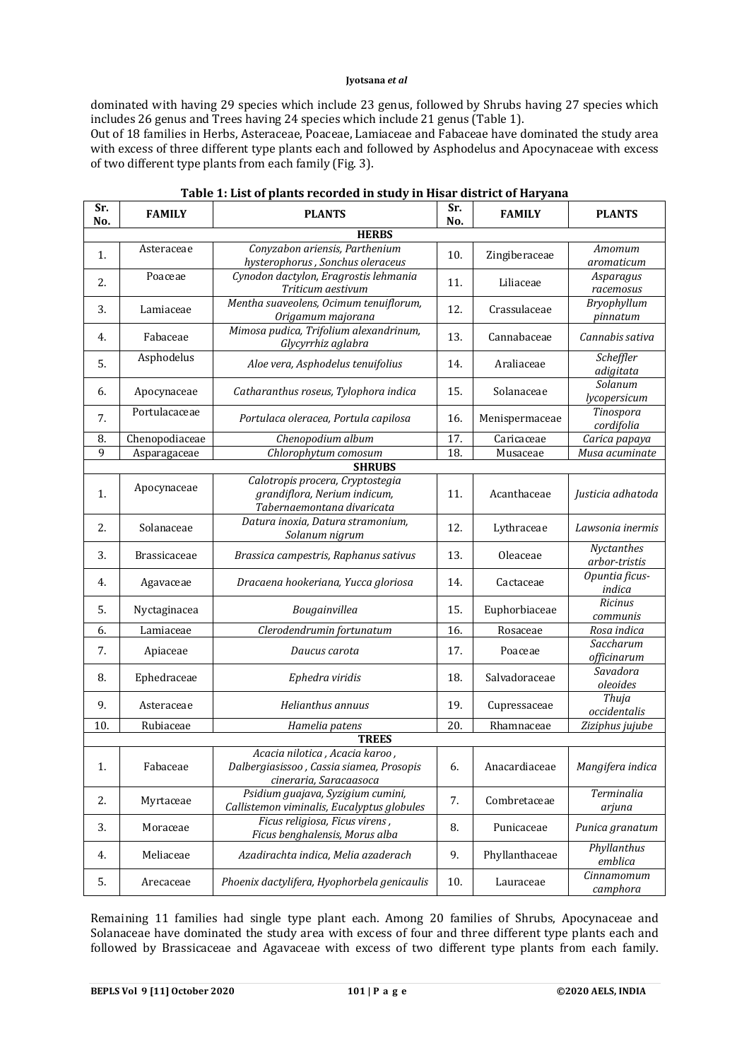dominated with having 29 species which include 23 genus, followed by Shrubs having 27 species which includes 26 genus and Trees having 24 species which include 21 genus (Table 1).

Out of 18 families in Herbs, Asteraceae, Poaceae, Lamiaceae and Fabaceae have dominated the study area with excess of three different type plants each and followed by Asphodelus and Apocynaceae with excess of two different type plants from each family (Fig. 3).

| Sr.<br>No.   | <b>FAMILY</b>       | <b>PLANTS</b>                                                                                        | Sr.<br>No. | <b>FAMILY</b>  | <b>PLANTS</b>               |  |  |  |  |  |
|--------------|---------------------|------------------------------------------------------------------------------------------------------|------------|----------------|-----------------------------|--|--|--|--|--|
| <b>HERBS</b> |                     |                                                                                                      |            |                |                             |  |  |  |  |  |
| 1.           | Asteraceae          | Conyzabon ariensis, Parthenium<br>hysterophorus, Sonchus oleraceus                                   | 10.        | Zingiberaceae  | Amomum<br>aromaticum        |  |  |  |  |  |
| 2.           | Poaceae             | Cynodon dactylon, Eragrostis lehmania<br>Triticum aestivum                                           | 11.        | Liliaceae      | Asparagus<br>racemosus      |  |  |  |  |  |
| 3.           | Lamiaceae           | Mentha suaveolens, Ocimum tenuiflorum,<br>Origamum majorana                                          | 12.        | Crassulaceae   | Bryophyllum<br>pinnatum     |  |  |  |  |  |
| 4.           | Fabaceae            | Mimosa pudica, Trifolium alexandrinum,<br>Glycyrrhiz aglabra                                         | 13.        | Cannabaceae    | Cannabis sativa             |  |  |  |  |  |
| 5.           | Asphodelus          | Aloe vera, Asphodelus tenuifolius                                                                    | 14.        | Araliaceae     | Scheffler<br>adigitata      |  |  |  |  |  |
| 6.           | Apocynaceae         | Catharanthus roseus, Tylophora indica                                                                | 15.        | Solanaceae     | Solanum<br>lycopersicum     |  |  |  |  |  |
| 7.           | Portulacaceae       | Portulaca oleracea, Portula capilosa                                                                 | 16.        | Menispermaceae | Tinospora<br>cordifolia     |  |  |  |  |  |
| 8.           | Chenopodiaceae      | Chenopodium album                                                                                    | 17.        | Caricaceae     | Carica papaya               |  |  |  |  |  |
| 9            | Asparagaceae        | Chlorophytum comosum                                                                                 | 18.        | Musaceae       | Musa acuminate              |  |  |  |  |  |
|              |                     | <b>SHRUBS</b>                                                                                        |            |                |                             |  |  |  |  |  |
| 1.           | Apocynaceae         | Calotropis procera, Cryptostegia<br>grandiflora, Nerium indicum,<br>Tabernaemontana divaricata       | 11.        | Acanthaceae    | Justicia adhatoda           |  |  |  |  |  |
| 2.           | Solanaceae          | Datura inoxia, Datura stramonium,<br>Solanum nigrum                                                  | 12.        | Lythraceae     | Lawsonia inermis            |  |  |  |  |  |
| 3.           | <b>Brassicaceae</b> | Brassica campestris, Raphanus sativus                                                                | 13.        | Oleaceae       | Nyctanthes<br>arbor-tristis |  |  |  |  |  |
| 4.           | Agavaceae           | Dracaena hookeriana, Yucca gloriosa                                                                  | 14.        | Cactaceae      | Opuntia ficus-<br>indica    |  |  |  |  |  |
| 5.           | Nyctaginacea        | Bougainvillea                                                                                        | 15.        | Euphorbiaceae  | <b>Ricinus</b><br>communis  |  |  |  |  |  |
| 6.           | Lamiaceae           | Clerodendrumin fortunatum                                                                            | 16.        | Rosaceae       | Rosa indica                 |  |  |  |  |  |
| 7.           | Apiaceae            | Daucus carota                                                                                        | 17.        | Poaceae        | Saccharum<br>officinarum    |  |  |  |  |  |
| 8.           | Ephedraceae         | Ephedra viridis                                                                                      | 18.        | Salvadoraceae  | Savadora<br>oleoides        |  |  |  |  |  |
| 9.           | Asteraceae          | Helianthus annuus                                                                                    | 19.        | Cupressaceae   | Thuja<br>occidentalis       |  |  |  |  |  |
| 10.          | Rubiaceae           | Hamelia patens                                                                                       | 20.        | Rhamnaceae     | Ziziphus jujube             |  |  |  |  |  |
|              |                     | <b>TREES</b>                                                                                         |            |                |                             |  |  |  |  |  |
| 1.           | Fabaceae            | Acacia nilotica, Acacia karoo,<br>Dalbergiasissoo, Cassia siamea, Prosopis<br>cineraria, Saracaasoca | 6.         | Anacardiaceae  | Mangifera indica            |  |  |  |  |  |
| 2.           | Myrtaceae           | Psidium guajava, Syzigium cumini,<br>Callistemon viminalis, Eucalyptus globules                      | 7.         | Combretaceae   | Terminalia<br>arjuna        |  |  |  |  |  |
| 3.           | Moraceae            | Ficus religiosa, Ficus virens,<br>Ficus benghalensis, Morus alba                                     | 8.         | Punicaceae     | Punica granatum             |  |  |  |  |  |
| 4.           | Meliaceae           | Azadirachta indica, Melia azaderach                                                                  | 9.         | Phyllanthaceae | Phyllanthus<br>emblica      |  |  |  |  |  |
| 5.           | Arecaceae           | Phoenix dactylifera, Hyophorbela genicaulis                                                          | 10.        | Lauraceae      | Cinnamomum<br>camphora      |  |  |  |  |  |

## **Table 1: List of plants recorded in study in Hisar district of Haryana**

Remaining 11 families had single type plant each. Among 20 families of Shrubs, Apocynaceae and Solanaceae have dominated the study area with excess of four and three different type plants each and followed by Brassicaceae and Agavaceae with excess of two different type plants from each family.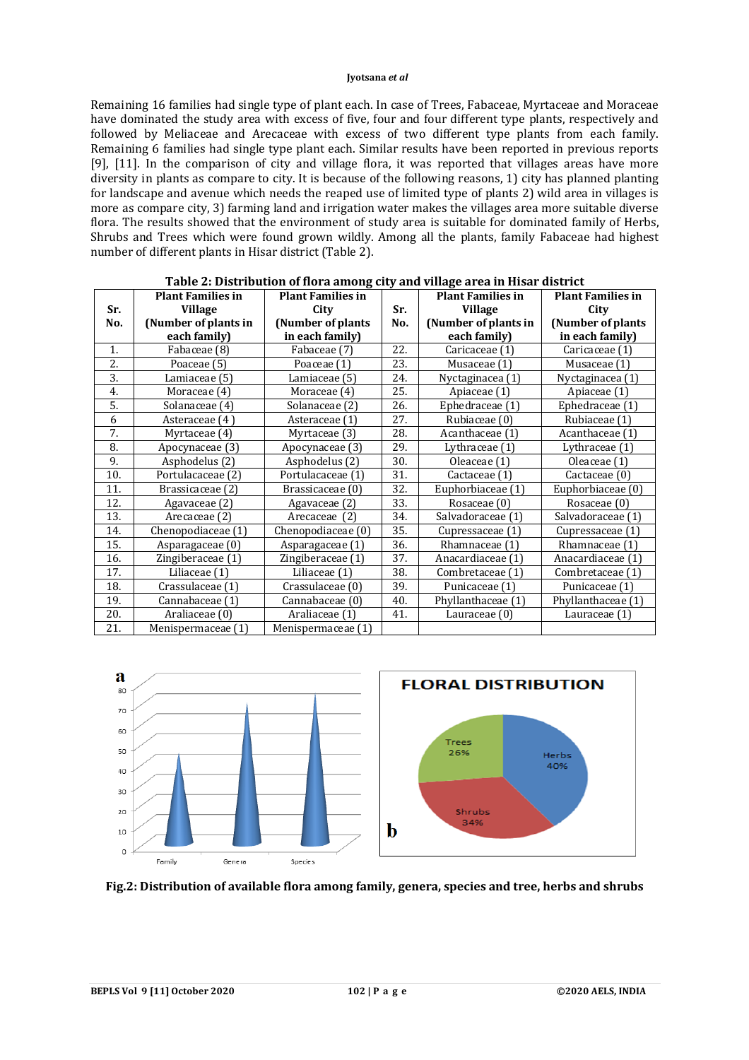Remaining 16 families had single type of plant each. In case of Trees, Fabaceae, Myrtaceae and Moraceae have dominated the study area with excess of five, four and four different type plants, respectively and followed by Meliaceae and Arecaceae with excess of two different type plants from each family. Remaining 6 families had single type plant each. Similar results have been reported in previous reports [9], [11]. In the comparison of city and village flora, it was reported that villages areas have more diversity in plants as compare to city. It is because of the following reasons, 1) city has planned planting for landscape and avenue which needs the reaped use of limited type of plants 2) wild area in villages is more as compare city, 3) farming land and irrigation water makes the villages area more suitable diverse flora. The results showed that the environment of study area is suitable for dominated family of Herbs, Shrubs and Trees which were found grown wildly. Among all the plants, family Fabaceae had highest number of different plants in Hisar district (Table 2).

|     | <b>Plant Families in</b> | <b>Plant Families in</b> |     | <b>Plant Families in</b> | <b>Plant Families in</b> |
|-----|--------------------------|--------------------------|-----|--------------------------|--------------------------|
| Sr. | <b>Village</b>           | City                     | Sr. | <b>Village</b>           | City                     |
| No. | (Number of plants in     | (Number of plants        | No. | (Number of plants in     | (Number of plants)       |
|     | each family)             | in each family)          |     | each family)             | in each family)          |
| 1.  | Fabaceae (8)             | Fabaceae (7)             | 22. | Caricaceae (1)           | Caricaceae (1)           |
| 2.  | Poaceae (5)              | Poaceae (1)              | 23. | Musaceae (1)             | Musaceae (1)             |
| 3.  | Lamiaceae (5)            | Lamiaceae (5)            | 24. | Nyctaginacea (1)         | Nyctaginacea (1)         |
| 4.  | Moraceae (4)             | Moraceae (4)             | 25. | Apiaceae (1)             | Apiaceae (1)             |
| 5.  | Solanaceae (4)           | Solanaceae (2)           | 26. | Ephedraceae (1)          | Ephedraceae (1)          |
| 6   | Asteraceae (4)           | Asteraceae (1)           | 27. | Rubiaceae (0)            | Rubiaceae (1)            |
| 7.  | Myrtaceae (4)            | Myrtaceae (3)            | 28. | Acanthaceae (1)          | Acanthaceae (1)          |
| 8.  | Apocynaceae (3)          | Apocynaceae (3)          | 29. | Lythraceae (1)           | Lythraceae (1)           |
| 9.  | Asphodelus (2)           | Asphodelus (2)           | 30. | Oleaceae (1)             | Oleaceae (1)             |
| 10. | Portulacaceae (2)        | Portulacaceae (1)        | 31. | Cactaceae (1)            | Cactaceae (0)            |
| 11. | Brassicaceae (2)         | Brassicaceae (0)         | 32. | Euphorbiaceae (1)        | Euphorbiaceae (0)        |
| 12. | Agavaceae (2)            | Agavaceae (2)            | 33. | Rosaceae (0)             | Rosaceae (0)             |
| 13. | Arecaceae (2)            | Arecaceae (2)            | 34. | Salvadoraceae (1)        | Salvadoraceae (1)        |
| 14. | Chenopodiaceae (1)       | Chenopodiaceae (0)       | 35. | Cupressaceae (1)         | Cupressaceae (1)         |
| 15. | Asparagaceae (0)         | Asparagaceae (1)         | 36. | Rhamnaceae (1)           | Rhamnaceae (1)           |
| 16. | Zingiberaceae (1)        | Zingiberaceae (1)        | 37. | Anacardiaceae (1)        | Anacardiaceae (1)        |
| 17. | Liliaceae (1)            | Liliaceae (1)            | 38. | Combretaceae (1)         | Combretaceae (1)         |
| 18. | Crassulaceae (1)         | Crassulaceae (0)         | 39. | Punicaceae (1)           | Punicaceae (1)           |
| 19. | Cannabaceae (1)          | Cannabaceae (0)          | 40. | Phyllanthaceae (1)       | Phyllanthaceae (1)       |
| 20. | Araliaceae (0)           | Araliaceae (1)           | 41. | Lauraceae (0)            | Lauraceae (1)            |
| 21. | Menispermaceae (1)       | Menispermaceae (1)       |     |                          |                          |

## **Table 2: Distribution of flora among city and village area in Hisar district**